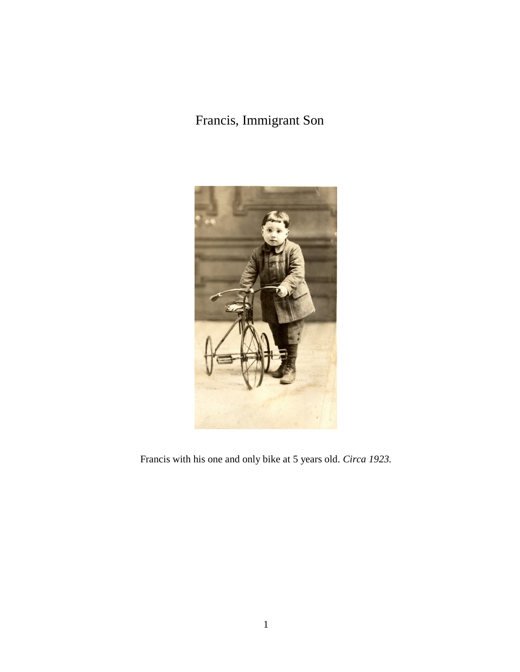## Francis, Immigrant Son



Francis with his one and only bike at 5 years old. *Circa 1923.*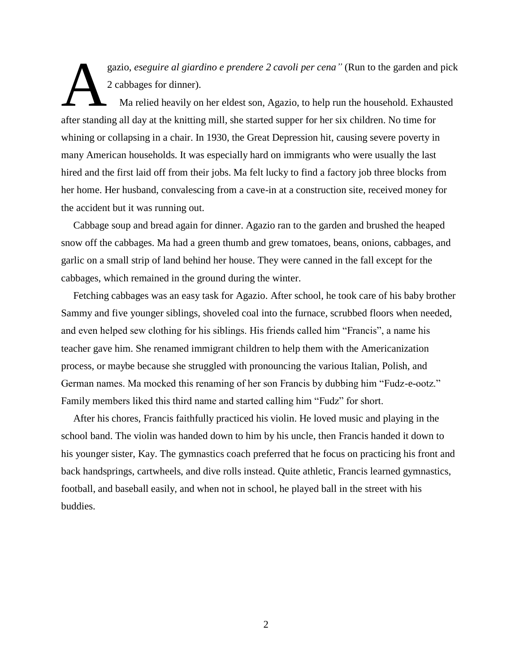gazio, *eseguire al giardino e prendere 2 cavoli per cena"* (Run to the garden and pick 2 cabbages for dinner).

Ma relied heavily on her eldest son, Agazio, to help run the household. Exhausted after standing all day at the knitting mill, she started supper for her six children. No time for whining or collapsing in a chair. In 1930, the Great Depression hit, causing severe poverty in many American households. It was especially hard on immigrants who were usually the last hired and the first laid off from their jobs. Ma felt lucky to find a factory job three blocks from her home. Her husband, convalescing from a cave-in at a construction site, received money for the accident but it was running out. A

Cabbage soup and bread again for dinner. Agazio ran to the garden and brushed the heaped snow off the cabbages. Ma had a green thumb and grew tomatoes, beans, onions, cabbages, and garlic on a small strip of land behind her house. They were canned in the fall except for the cabbages, which remained in the ground during the winter.

Fetching cabbages was an easy task for Agazio. After school, he took care of his baby brother Sammy and five younger siblings, shoveled coal into the furnace, scrubbed floors when needed, and even helped sew clothing for his siblings. His friends called him "Francis", a name his teacher gave him. She renamed immigrant children to help them with the Americanization process, or maybe because she struggled with pronouncing the various Italian, Polish, and German names. Ma mocked this renaming of her son Francis by dubbing him "Fudz-e-ootz." Family members liked this third name and started calling him "Fudz" for short.

After his chores, Francis faithfully practiced his violin. He loved music and playing in the school band. The violin was handed down to him by his uncle, then Francis handed it down to his younger sister, Kay. The gymnastics coach preferred that he focus on practicing his front and back handsprings, cartwheels, and dive rolls instead. Quite athletic, Francis learned gymnastics, football, and baseball easily, and when not in school, he played ball in the street with his buddies.

2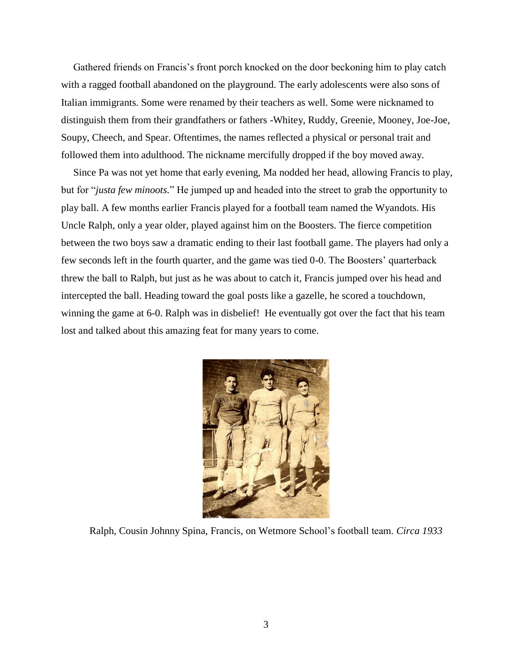Gathered friends on Francis's front porch knocked on the door beckoning him to play catch with a ragged football abandoned on the playground. The early adolescents were also sons of Italian immigrants. Some were renamed by their teachers as well. Some were nicknamed to distinguish them from their grandfathers or fathers -Whitey, Ruddy, Greenie, Mooney, Joe-Joe, Soupy, Cheech, and Spear. Oftentimes, the names reflected a physical or personal trait and followed them into adulthood. The nickname mercifully dropped if the boy moved away.

Since Pa was not yet home that early evening, Ma nodded her head, allowing Francis to play, but for "*justa few minoots.*" He jumped up and headed into the street to grab the opportunity to play ball. A few months earlier Francis played for a football team named the Wyandots. His Uncle Ralph, only a year older, played against him on the Boosters. The fierce competition between the two boys saw a dramatic ending to their last football game. The players had only a few seconds left in the fourth quarter, and the game was tied 0-0. The Boosters' quarterback threw the ball to Ralph, but just as he was about to catch it, Francis jumped over his head and intercepted the ball. Heading toward the goal posts like a gazelle, he scored a touchdown, winning the game at 6-0. Ralph was in disbelief! He eventually got over the fact that his team lost and talked about this amazing feat for many years to come.



Ralph, Cousin Johnny Spina, Francis, on Wetmore School's football team. *Circa 1933*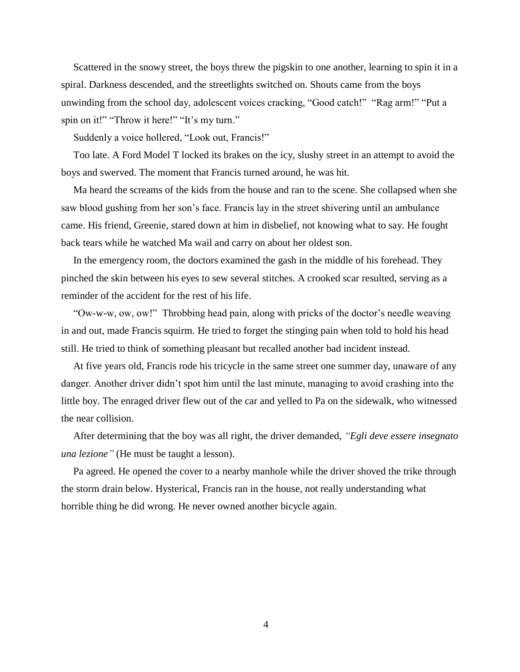Scattered in the snowy street, the boys threw the pigskin to one another, learning to spin it in a spiral. Darkness descended, and the streetlights switched on. Shouts came from the boys unwinding from the school day, adolescent voices cracking, "Good catch!" "Rag arm!" "Put a spin on it!" "Throw it here!" "It's my turn."

Suddenly a voice hollered, "Look out, Francis!"

Too late. A Ford Model T locked its brakes on the icy, slushy street in an attempt to avoid the boys and swerved. The moment that Francis turned around, he was hit.

Ma heard the screams of the kids from the house and ran to the scene. She collapsed when she saw blood gushing from her son's face. Francis lay in the street shivering until an ambulance came. His friend, Greenie, stared down at him in disbelief, not knowing what to say. He fought back tears while he watched Ma wail and carry on about her oldest son.

In the emergency room, the doctors examined the gash in the middle of his forehead. They pinched the skin between his eyes to sew several stitches. A crooked scar resulted, serving as a reminder of the accident for the rest of his life.

"Ow-w-w, ow, ow!" Throbbing head pain, along with pricks of the doctor's needle weaving in and out, made Francis squirm. He tried to forget the stinging pain when told to hold his head still. He tried to think of something pleasant but recalled another bad incident instead.

At five years old, Francis rode his tricycle in the same street one summer day, unaware of any danger. Another driver didn't spot him until the last minute, managing to avoid crashing into the little boy. The enraged driver flew out of the car and yelled to Pa on the sidewalk, who witnessed the near collision.

After determining that the boy was all right, the driver demanded, *"Egli deve essere insegnato una lezione"* (He must be taught a lesson).

Pa agreed. He opened the cover to a nearby manhole while the driver shoved the trike through the storm drain below. Hysterical, Francis ran in the house, not really understanding what horrible thing he did wrong. He never owned another bicycle again.